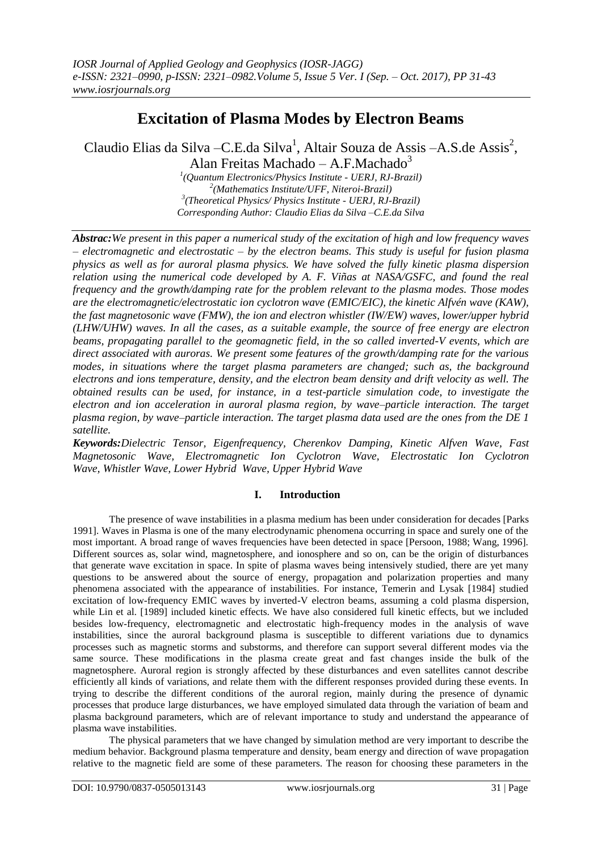# **Excitation of Plasma Modes by Electron Beams**

Claudio Elias da Silva - C.E.da Silva<sup>1</sup>, Altair Souza de Assis - A.S.de Assis<sup>2</sup>, Alan Freitas Machado – A.F.Machado $3$ 

> *(Quantum Electronics/Physics Institute - UERJ, RJ-Brazil) (Mathematics Institute/UFF, Niteroi-Brazil) (Theoretical Physics/ Physics Institute - UERJ, RJ-Brazil) Corresponding Author: Claudio Elias da Silva –C.E.da Silva*

*Abstrac:We present in this paper a numerical study of the excitation of high and low frequency waves – electromagnetic and electrostatic – by the electron beams. This study is useful for fusion plasma physics as well as for auroral plasma physics. We have solved the fully kinetic plasma dispersion relation using the numerical code developed by A. F. Viñas at NASA/GSFC, and found the real frequency and the growth/damping rate for the problem relevant to the plasma modes. Those modes are the electromagnetic/electrostatic ion cyclotron wave (EMIC/EIC), the kinetic Alfvén wave (KAW), the fast magnetosonic wave (FMW), the ion and electron whistler (IW/EW) waves, lower/upper hybrid (LHW/UHW) waves. In all the cases, as a suitable example, the source of free energy are electron beams, propagating parallel to the geomagnetic field, in the so called inverted-V events, which are direct associated with auroras. We present some features of the growth/damping rate for the various modes, in situations where the target plasma parameters are changed; such as, the background electrons and ions temperature, density, and the electron beam density and drift velocity as well. The obtained results can be used, for instance, in a test-particle simulation code, to investigate the electron and ion acceleration in auroral plasma region, by wave–particle interaction. The target plasma region, by wave–particle interaction. The target plasma data used are the ones from the DE 1 satellite.*

*Keywords:Dielectric Tensor, Eigenfrequency, Cherenkov Damping, Kinetic Alfven Wave, Fast Magnetosonic Wave, Electromagnetic Ion Cyclotron Wave, Electrostatic Ion Cyclotron Wave, Whistler Wave, Lower Hybrid Wave, Upper Hybrid Wave*

# **I. Introduction**

The presence of wave instabilities in a plasma medium has been under consideration for decades [Parks 1991]. Waves in Plasma is one of the many electrodynamic phenomena occurring in space and surely one of the most important. A broad range of waves frequencies have been detected in space [Persoon, 1988; Wang, 1996]. Different sources as, solar wind, magnetosphere, and ionosphere and so on, can be the origin of disturbances that generate wave excitation in space. In spite of plasma waves being intensively studied, there are yet many questions to be answered about the source of energy, propagation and polarization properties and many phenomena associated with the appearance of instabilities. For instance, Temerin and Lysak [1984] studied excitation of low-frequency EMIC waves by inverted-V electron beams, assuming a cold plasma dispersion, while Lin et al. [1989] included kinetic effects. We have also considered full kinetic effects, but we included besides low-frequency, electromagnetic and electrostatic high-frequency modes in the analysis of wave instabilities, since the auroral background plasma is susceptible to different variations due to dynamics processes such as magnetic storms and substorms, and therefore can support several different modes via the same source. These modifications in the plasma create great and fast changes inside the bulk of the magnetosphere. Auroral region is strongly affected by these disturbances and even satellites cannot describe efficiently all kinds of variations, and relate them with the different responses provided during these events. In trying to describe the different conditions of the auroral region, mainly during the presence of dynamic processes that produce large disturbances, we have employed simulated data through the variation of beam and plasma background parameters, which are of relevant importance to study and understand the appearance of plasma wave instabilities.

The physical parameters that we have changed by simulation method are very important to describe the medium behavior. Background plasma temperature and density, beam energy and direction of wave propagation relative to the magnetic field are some of these parameters. The reason for choosing these parameters in the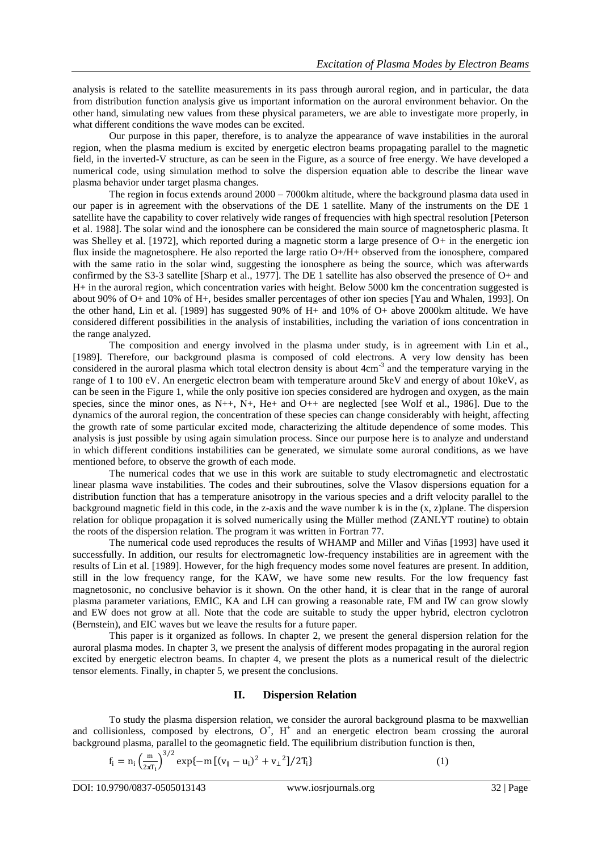analysis is related to the satellite measurements in its pass through auroral region, and in particular, the data from distribution function analysis give us important information on the auroral environment behavior. On the other hand, simulating new values from these physical parameters, we are able to investigate more properly, in what different conditions the wave modes can be excited.

Our purpose in this paper, therefore, is to analyze the appearance of wave instabilities in the auroral region, when the plasma medium is excited by energetic electron beams propagating parallel to the magnetic field, in the inverted-V structure, as can be seen in the Figure, as a source of free energy. We have developed a numerical code, using simulation method to solve the dispersion equation able to describe the linear wave plasma behavior under target plasma changes.

The region in focus extends around 2000 – 7000km altitude, where the background plasma data used in our paper is in agreement with the observations of the DE 1 satellite. Many of the instruments on the DE 1 satellite have the capability to cover relatively wide ranges of frequencies with high spectral resolution [Peterson et al. 1988]. The solar wind and the ionosphere can be considered the main source of magnetospheric plasma. It was Shelley et al. [1972], which reported during a magnetic storm a large presence of O+ in the energetic ion flux inside the magnetosphere. He also reported the large ratio O+/H+ observed from the ionosphere, compared with the same ratio in the solar wind, suggesting the ionosphere as being the source, which was afterwards confirmed by the S3-3 satellite [Sharp et al., 1977]. The DE 1 satellite has also observed the presence of O+ and H+ in the auroral region, which concentration varies with height. Below 5000 km the concentration suggested is about 90% of O+ and 10% of H+, besides smaller percentages of other ion species [Yau and Whalen, 1993]. On the other hand, Lin et al. [1989] has suggested 90% of H+ and 10% of O+ above 2000km altitude. We have considered different possibilities in the analysis of instabilities, including the variation of ions concentration in the range analyzed.

The composition and energy involved in the plasma under study, is in agreement with Lin et al., [1989]. Therefore, our background plasma is composed of cold electrons. A very low density has been considered in the auroral plasma which total electron density is about 4cm<sup>-3</sup> and the temperature varying in the range of 1 to 100 eV. An energetic electron beam with temperature around 5keV and energy of about 10keV, as can be seen in the Figure 1, while the only positive ion species considered are hydrogen and oxygen, as the main species, since the minor ones, as N++, N+, He+ and O++ are neglected [see Wolf et al., 1986]. Due to the dynamics of the auroral region, the concentration of these species can change considerably with height, affecting the growth rate of some particular excited mode, characterizing the altitude dependence of some modes. This analysis is just possible by using again simulation process. Since our purpose here is to analyze and understand in which different conditions instabilities can be generated, we simulate some auroral conditions, as we have mentioned before, to observe the growth of each mode.

The numerical codes that we use in this work are suitable to study electromagnetic and electrostatic linear plasma wave instabilities. The codes and their subroutines, solve the Vlasov dispersions equation for a distribution function that has a temperature anisotropy in the various species and a drift velocity parallel to the background magnetic field in this code, in the z-axis and the wave number k is in the (x, z)plane. The dispersion relation for oblique propagation it is solved numerically using the Müller method (ZANLYT routine) to obtain the roots of the dispersion relation. The program it was written in Fortran 77.

The numerical code used reproduces the results of WHAMP and Miller and Viñas [1993] have used it successfully. In addition, our results for electromagnetic low-frequency instabilities are in agreement with the results of Lin et al. [1989]. However, for the high frequency modes some novel features are present. In addition, still in the low frequency range, for the KAW, we have some new results. For the low frequency fast magnetosonic, no conclusive behavior is it shown. On the other hand, it is clear that in the range of auroral plasma parameter variations, EMIC, KA and LH can growing a reasonable rate, FM and IW can grow slowly and EW does not grow at all. Note that the code are suitable to study the upper hybrid, electron cyclotron (Bernstein), and EIC waves but we leave the results for a future paper.

This paper is it organized as follows. In chapter 2, we present the general dispersion relation for the auroral plasma modes. In chapter 3, we present the analysis of different modes propagating in the auroral region excited by energetic electron beams. In chapter 4, we present the plots as a numerical result of the dielectric tensor elements. Finally, in chapter 5, we present the conclusions.

## **II. Dispersion Relation**

To study the plasma dispersion relation, we consider the auroral background plasma to be maxwellian and collisionless, composed by electrons,  $O^+$ ,  $H^+$  and an energetic electron beam crossing the auroral background plasma, parallel to the geomagnetic field. The equilibrium distribution function is then,

$$
f_{i} = n_{i} \left(\frac{m}{2\pi T_{i}}\right)^{3/2} \exp\{-m\left[(v_{\parallel} - u_{i})^{2} + v_{\perp}^{2}\right]/2T_{i}\}\tag{1}
$$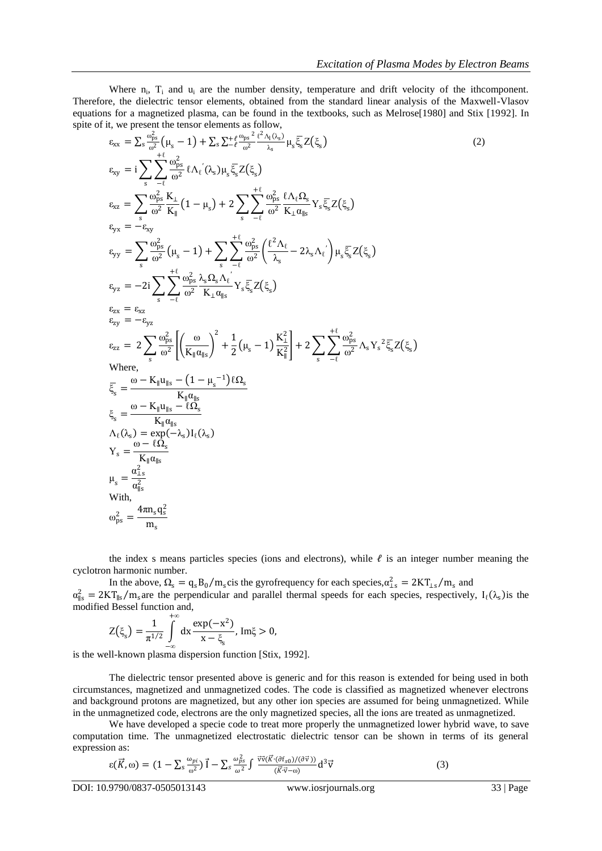Where  $n_i$ ,  $T_i$  and  $u_i$  are the number density, temperature and drift velocity of the ithcomponent. Therefore, the dielectric tensor elements, obtained from the standard linear analysis of the Maxwell-Vlasov equations for a magnetized plasma, can be found in the textbooks, such as Melrose[1980] and Stix [1992]. In spite of it, we present the tensor elements as follow,

$$
\varepsilon_{xx} = \sum_{s} \frac{\omega_{ps}^{2}}{\omega^{2}} ( \mu_{s} - 1 ) + \sum_{s} \sum_{t} \frac{t}{\omega^{2}} \frac{t^{2} \Lambda_{1}(\lambda_{s})}{\lambda_{s}} \mu_{s} \xi_{s} Z(\xi_{s})
$$
\n
$$
\varepsilon_{xy} = i \sum_{s} \sum_{t} \frac{\omega_{ps}^{2}}{\omega^{2}} t \Lambda_{t} (\lambda_{s}) \mu_{s} \xi_{s} Z(\xi_{s})
$$
\n
$$
\varepsilon_{xz} = \sum_{s} \frac{\omega_{ps}^{2}}{\omega^{2}} \frac{K_{\perp}}{K_{\parallel}} (1 - \mu_{s}) + 2 \sum_{s} \sum_{t} \frac{t}{\omega^{2}} \frac{\omega_{ps}^{2}}{\omega^{2}} \frac{\{\Lambda_{t} \Omega_{s}}}{K_{\perp} \alpha_{ls}} Y_{s} \xi_{s} Z(\xi_{s})
$$
\n
$$
\varepsilon_{yx} = -\varepsilon_{xy}
$$
\n
$$
\varepsilon_{yy} = \sum_{s} \frac{\omega_{ps}^{2}}{\omega^{2}} (\mu_{s} - 1) + \sum_{s} \sum_{t} \frac{t}{\omega^{2}} \frac{\omega_{ps}^{2}}{\omega^{2}} \left( \frac{t^{2} \Lambda_{t}}{\lambda_{s}} - 2 \lambda_{s} \Lambda_{t} \right) \mu_{s} \xi_{s} Z(\xi_{s})
$$
\n
$$
\varepsilon_{yz} = -2i \sum_{s} \sum_{t} \frac{\omega_{ps}^{2}}{\omega^{2}} \frac{\lambda_{s} \Omega_{s} \Lambda_{t}}{K_{\perp} \alpha_{ls}} Y_{s} \xi_{s} Z(\xi_{s})
$$
\n
$$
\varepsilon_{zx} = \varepsilon_{xz}
$$
\n
$$
\varepsilon_{zy} = -\varepsilon_{yz}
$$
\n
$$
\varepsilon_{zy} = -\varepsilon_{yz}
$$
\n
$$
\varepsilon_{zz} = 2 \sum_{s} \frac{\omega_{ps}^{2}}{\omega^{2}} \left[ \left( \frac{\omega}{K_{\parallel} \alpha_{ls}} \right)^{2} + \frac{1}{2} (\mu_{s} - 1) \frac{K_{\perp}^{2}}{K_{\parallel}^{2}} \right] + 2 \sum_{s} \sum_{t} \frac{\omega_{ps}^{2}}{\omega^{2}} \
$$

the index s means particles species (ions and electrons), while  $\ell$  is an integer number meaning the cyclotron harmonic number.

In the above,  $\Omega_s = q_s B_0 / m_s \text{cis}$  the gyrofrequency for each species,  $\alpha_{1s}^2 = 2KT_{1s} / m_s$  and

 $\alpha_{\parallel s}^2 = 2KT_{\parallel s}/m_s$  are the perpendicular and parallel thermal speeds for each species, respectively,  $I_{\ell}(\lambda_s)$  is the modified Bessel function and, +∞

$$
Z(\xi_s) = \frac{1}{\pi^{1/2}} \int_{-\infty}^{\infty} dx \frac{\exp(-x^2)}{x - \xi_s}, \text{Im}\xi > 0,
$$

−∞ is the well-known plasma dispersion function [Stix, 1992].

The dielectric tensor presented above is generic and for this reason is extended for being used in both circumstances, magnetized and unmagnetized codes. The code is classified as magnetized whenever electrons and background protons are magnetized, but any other ion species are assumed for being unmagnetized. While in the unmagnetized code, electrons are the only magnetized species, all the ions are treated as unmagnetized.

We have developed a specie code to treat more properly the unmagnetized lower hybrid wave, to save computation time. The unmagnetized electrostatic dielectric tensor can be shown in terms of its general expression as:

$$
\varepsilon(\vec{K},\omega) = (1 - \sum_{s} \frac{\omega_{pi}}{\omega^2}) \vec{1} - \sum_{s} \frac{\omega_{ps}^2}{\omega^2} \int \frac{\vec{v} \vec{v} (\vec{K} \cdot (\partial f_{s0})/(\partial \vec{v}))}{(\vec{K} \cdot \vec{v} - \omega)} d^3 \vec{v}
$$
(3)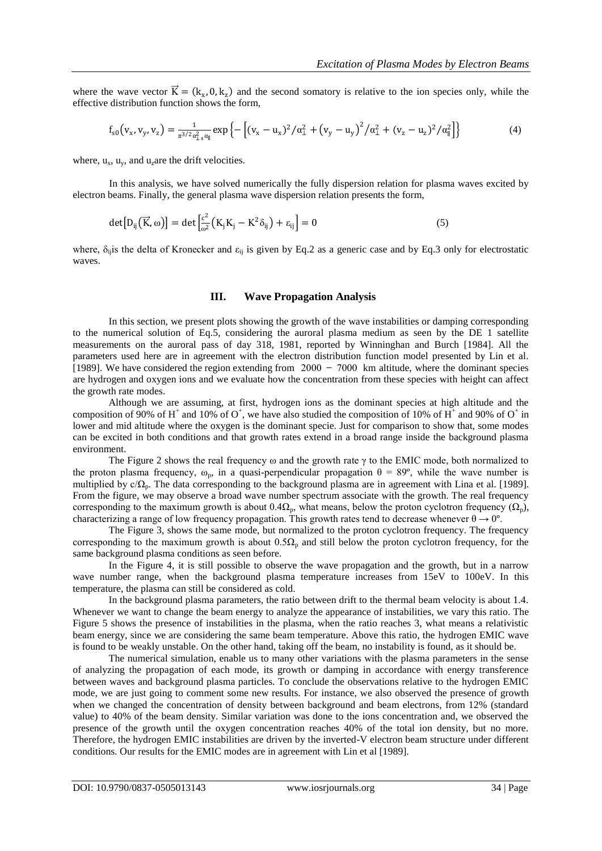where the wave vector  $\vec{K} = (k_x, 0, k_z)$  and the second somatory is relative to the ion species only, while the effective distribution function shows the form,

$$
f_{s0}(v_x, v_y, v_z) = \frac{1}{\pi^{3/2} a_{\perp s}^2 \alpha_{\parallel}} \exp \left\{ - \left[ (v_x - u_x)^2 / \alpha_{\perp}^2 + (v_y - u_y)^2 / \alpha_{\perp}^2 + (v_z - u_z)^2 / \alpha_{\parallel}^2 \right] \right\}
$$
(4)

where,  $u_x$ ,  $u_y$ , and  $u_z$  are the drift velocities.

In this analysis, we have solved numerically the fully dispersion relation for plasma waves excited by electron beams. Finally, the general plasma wave dispersion relation presents the form,

$$
\det[D_{ij}(\vec{K},\omega)] = \det\left[\frac{c^2}{\omega^2}(K_jK_j - K^2\delta_{ij}) + \varepsilon_{ij}\right] = 0
$$
\n(5)

where,  $\delta_{ij}$  is the delta of Kronecker and  $\varepsilon_{ij}$  is given by Eq.2 as a generic case and by Eq.3 only for electrostatic waves.

## **III. Wave Propagation Analysis**

In this section, we present plots showing the growth of the wave instabilities or damping corresponding to the numerical solution of Eq.5, considering the auroral plasma medium as seen by the DE 1 satellite measurements on the auroral pass of day 318, 1981, reported by Winninghan and Burch [1984]. All the parameters used here are in agreement with the electron distribution function model presented by Lin et al. [1989]. We have considered the region extending from  $2000 - 7000$  km altitude, where the dominant species are hydrogen and oxygen ions and we evaluate how the concentration from these species with height can affect the growth rate modes.

Although we are assuming, at first, hydrogen ions as the dominant species at high altitude and the composition of 90% of H<sup>+</sup> and 10% of O<sup>+</sup>, we have also studied the composition of 10% of H<sup>+</sup> and 90% of O<sup>+</sup> in lower and mid altitude where the oxygen is the dominant specie. Just for comparison to show that, some modes can be excited in both conditions and that growth rates extend in a broad range inside the background plasma environment.

The Figure 2 shows the real frequency  $\omega$  and the growth rate  $\gamma$  to the EMIC mode, both normalized to the proton plasma frequency,  $\omega_p$ , in a quasi-perpendicular propagation  $\theta = 89^\circ$ , while the wave number is multiplied by c/Ω<sub>p</sub>. The data corresponding to the background plasma are in agreement with Lina et al. [1989]. From the figure, we may observe a broad wave number spectrum associate with the growth. The real frequency corresponding to the maximum growth is about 0.4 $\Omega_p$ , what means, below the proton cyclotron frequency ( $\Omega_p$ ), characterizing a range of low frequency propagation. This growth rates tend to decrease whenever  $\theta \to 0^{\circ}$ .

The Figure 3, shows the same mode, but normalized to the proton cyclotron frequency. The frequency corresponding to the maximum growth is about  $0.5\Omega_p$  and still below the proton cyclotron frequency, for the same background plasma conditions as seen before.

In the Figure 4, it is still possible to observe the wave propagation and the growth, but in a narrow wave number range, when the background plasma temperature increases from 15eV to 100eV. In this temperature, the plasma can still be considered as cold.

In the background plasma parameters, the ratio between drift to the thermal beam velocity is about 1.4. Whenever we want to change the beam energy to analyze the appearance of instabilities, we vary this ratio. The Figure 5 shows the presence of instabilities in the plasma, when the ratio reaches 3, what means a relativistic beam energy, since we are considering the same beam temperature. Above this ratio, the hydrogen EMIC wave is found to be weakly unstable. On the other hand, taking off the beam, no instability is found, as it should be.

The numerical simulation, enable us to many other variations with the plasma parameters in the sense of analyzing the propagation of each mode, its growth or damping in accordance with energy transference between waves and background plasma particles. To conclude the observations relative to the hydrogen EMIC mode, we are just going to comment some new results. For instance, we also observed the presence of growth when we changed the concentration of density between background and beam electrons, from 12% (standard value) to 40% of the beam density. Similar variation was done to the ions concentration and, we observed the presence of the growth until the oxygen concentration reaches 40% of the total ion density, but no more. Therefore, the hydrogen EMIC instabilities are driven by the inverted-V electron beam structure under different conditions. Our results for the EMIC modes are in agreement with Lin et al [1989].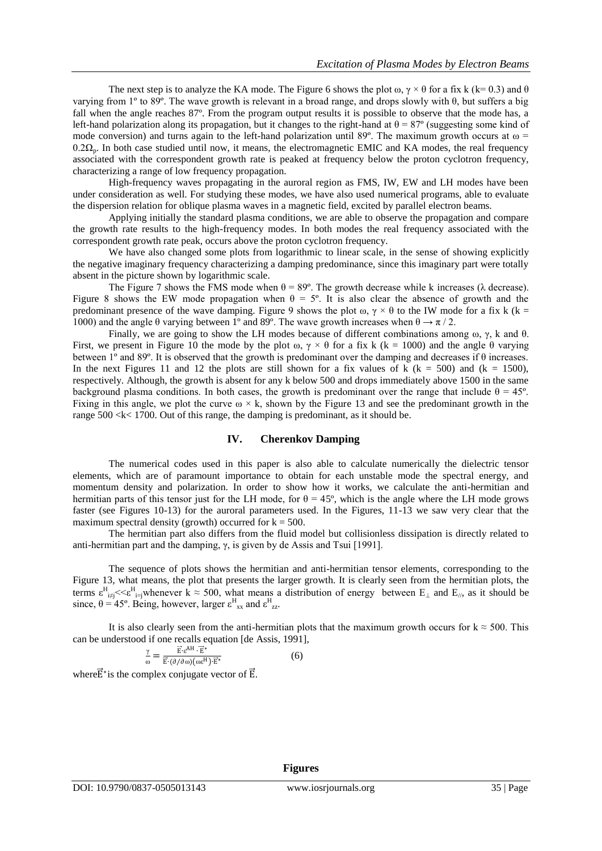The next step is to analyze the KA mode. The Figure 6 shows the plot  $\omega$ ,  $\gamma \times \theta$  for a fix k (k= 0.3) and  $\theta$ varying from 1º to 89º. The wave growth is relevant in a broad range, and drops slowly with θ, but suffers a big fall when the angle reaches 87º. From the program output results it is possible to observe that the mode has, a left-hand polarization along its propagation, but it changes to the right-hand at  $\theta = 87^{\circ}$  (suggesting some kind of mode conversion) and turns again to the left-hand polarization until 89°. The maximum growth occurs at  $\omega$  =  $0.2\Omega_p$ . In both case studied until now, it means, the electromagnetic EMIC and KA modes, the real frequency associated with the correspondent growth rate is peaked at frequency below the proton cyclotron frequency, characterizing a range of low frequency propagation.

High-frequency waves propagating in the auroral region as FMS, IW, EW and LH modes have been under consideration as well. For studying these modes, we have also used numerical programs, able to evaluate the dispersion relation for oblique plasma waves in a magnetic field, excited by parallel electron beams.

Applying initially the standard plasma conditions, we are able to observe the propagation and compare the growth rate results to the high-frequency modes. In both modes the real frequency associated with the correspondent growth rate peak, occurs above the proton cyclotron frequency.

We have also changed some plots from logarithmic to linear scale, in the sense of showing explicitly the negative imaginary frequency characterizing a damping predominance, since this imaginary part were totally absent in the picture shown by logarithmic scale.

The Figure 7 shows the FMS mode when  $\theta = 89^\circ$ . The growth decrease while k increases ( $\lambda$  decrease). Figure 8 shows the EW mode propagation when  $\theta = 5^{\circ}$ . It is also clear the absence of growth and the predominant presence of the wave damping. Figure 9 shows the plot  $\omega$ ,  $\gamma \times \theta$  to the IW mode for a fix k (k = 1000) and the angle θ varying between 1° and 89°. The wave growth increases when θ  $\rightarrow \pi/2$ .

Finally, we are going to show the LH modes because of different combinations among  $\omega$ ,  $\gamma$ , k and  $\theta$ . First, we present in Figure 10 the mode by the plot  $\omega$ ,  $\gamma \times \theta$  for a fix k (k = 1000) and the angle  $\theta$  varying between 1º and 89º. It is observed that the growth is predominant over the damping and decreases if θ increases. In the next Figures 11 and 12 the plots are still shown for a fix values of k ( $k = 500$ ) and ( $k = 1500$ ), respectively. Although, the growth is absent for any k below 500 and drops immediately above 1500 in the same background plasma conditions. In both cases, the growth is predominant over the range that include  $\theta = 45^\circ$ . Fixing in this angle, we plot the curve  $\omega \times k$ , shown by the Figure 13 and see the predominant growth in the range 500 <k< 1700. Out of this range, the damping is predominant, as it should be.

### **IV. Cherenkov Damping**

The numerical codes used in this paper is also able to calculate numerically the dielectric tensor elements, which are of paramount importance to obtain for each unstable mode the spectral energy, and momentum density and polarization. In order to show how it works, we calculate the anti-hermitian and hermitian parts of this tensor just for the LH mode, for  $\theta = 45^{\circ}$ , which is the angle where the LH mode grows faster (see Figures 10-13) for the auroral parameters used. In the Figures, 11-13 we saw very clear that the maximum spectral density (growth) occurred for  $k = 500$ .

The hermitian part also differs from the fluid model but collisionless dissipation is directly related to anti-hermitian part and the damping, γ, is given by de Assis and Tsui [1991].

The sequence of plots shows the hermitian and anti-hermitian tensor elements, corresponding to the Figure 13, what means, the plot that presents the larger growth. It is clearly seen from the hermitian plots, the terms  $\varepsilon_{i\neq j}^H \ll \varepsilon_{i=j}^H$  whenever  $k \approx 500$ , what means a distribution of energy between  $E_{\perp}$  and  $E_{\parallel}$ , as it should be since,  $\theta = 45^{\circ}$ . Being, however, larger  $\varepsilon_{xx}^{\rm H}$  and  $\varepsilon_{zz}^{\rm H}$ .

It is also clearly seen from the anti-hermitian plots that the maximum growth occurs for  $k \approx 500$ . This can be understood if one recalls equation [de Assis, 1991],

**Figures**

$$
\frac{\gamma}{\omega} = \frac{\vec{E} \cdot e^{AH} \cdot \vec{E}^*}{\vec{E} \cdot (\partial/\partial \omega)(\omega e^H) \cdot \vec{E}^*}
$$
(6)

where  $\vec{E}^*$  is the complex conjugate vector of  $\vec{E}$ .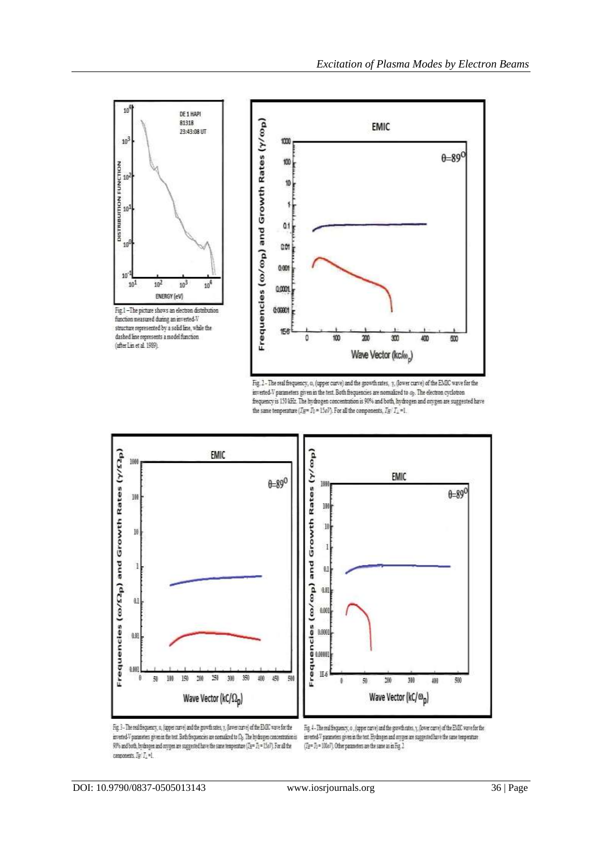

Fig. 2 - The real frequency, o, (upper curve) and the growth rates, y, (lower curve) of the EMIC wave for the inverted-V parameters given in the text. Both frequencies are normalized to  $a_k$ . The electron cyclotron frequency is 130 kHz. The hydrogen concentration is 90% and both, hydrogen and oxygen are suggested have the same temperature ( $T_{\rm H}=T_0=15\,{\rm eV}$ ). For all the components,  $T_{\rm H}/T_{\perp}$  =1.



Fig. 3 - The real frequency, u, (upper curve) and the growth rates, y, (lower curve) of the EMDC wave for the inverted V parameters given in the test. Both frequencies are normalized to  $\Omega_{\rm p}$ . The hydrogen concentration is Wh and both, hydrogen and oxygen are suggested have the same temperature ( $T_{\rm ff}$  =  $T_{\rm f}$  = 15aP). For all the components,  $I_{\mathbb{R}}(I_{\mathbb{R}}\text{-}1)$ 

Fig. 4 - The real frequency, o , (upper carve) and the growth rates, y, (lower carve) of the EMIC wave for the inverted-V parameters given in the text. Elydongen and oxygen are suggested have the same temperature  $(T_{\rm H}{=}\,T_{\rm 0}{=}\,100\,\rm sT)$ . Other parameters are the same as in Fig. 2.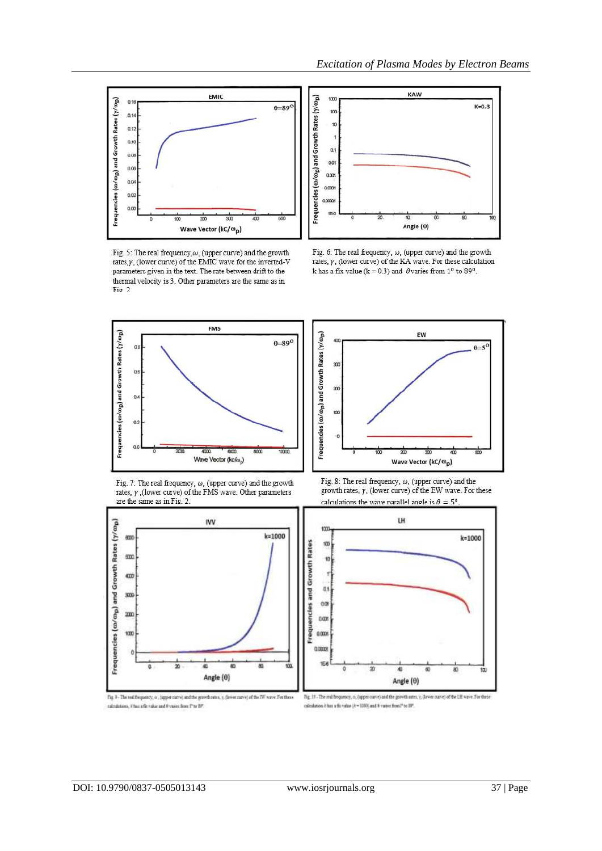

Fig. 5: The real frequency,  $\omega$ , (upper curve) and the growth rates, y, (lower curve) of the EMIC wave for the inverted-V<br>parameters given in the text. The rate between drift to the thermal velocity is 3. Other parameters are the same as in Fig. 2.



*Excitation of Plasma Modes by Electron Beams*



Fig. 6: The real frequency,  $\omega$ , (upper curve) and the growth rates,  $\gamma$ , (lower curve) of the KA wave. For these calculation k has a fix value (k = 0.3) and  $\theta$  varies from 1<sup>o</sup> to 89<sup>o</sup>.















Fig. 17 - The end bequency, a, (upper curve) and the goveth rates,  $\gamma$ , (lower curve) of the LH wave. For these calculation  $k$  has a fit value  $(k=0.00)$  and  $\theta$  varies from?" to 39".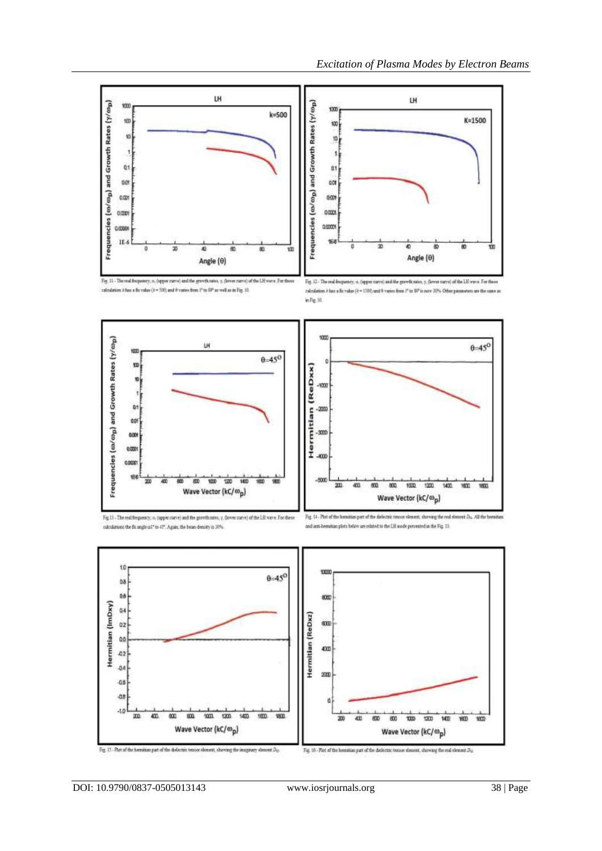





Fig. 11 - The real frequency,  $n_i$  (apper curve) and the growth rates,  $\gamma_i$  (lower curve) of the LH wave. For th calculation it has a fix value (  $k=500$  and  $\theta$  varies from  $1^{\rm o}$  to  $10^{\rm o}$  as well as in Fig. 10.

Fig. 12 - The real frequency, o. (opper narve) and the gravitonies, y. (lower narve) of the LH wave. For these calculation it has a fix value (k = 1500) and 0 varies from 1° to 10° is now 30%. Other passes on one the same as





Fig.13 - The real frequency, o, (upper curve) and the growth nates, y, (lower curve) of the LH wave. For these calculations the fit angle is I\* to 47°. Again, the beam density is 30%

Fig. 14 - Plot of the hemitian part of the dielelement, showing the real element  $D_{\rm in}$  All the benuitian and anti-hemitian plots below are related to the LH mode presented in the Fig. 13.

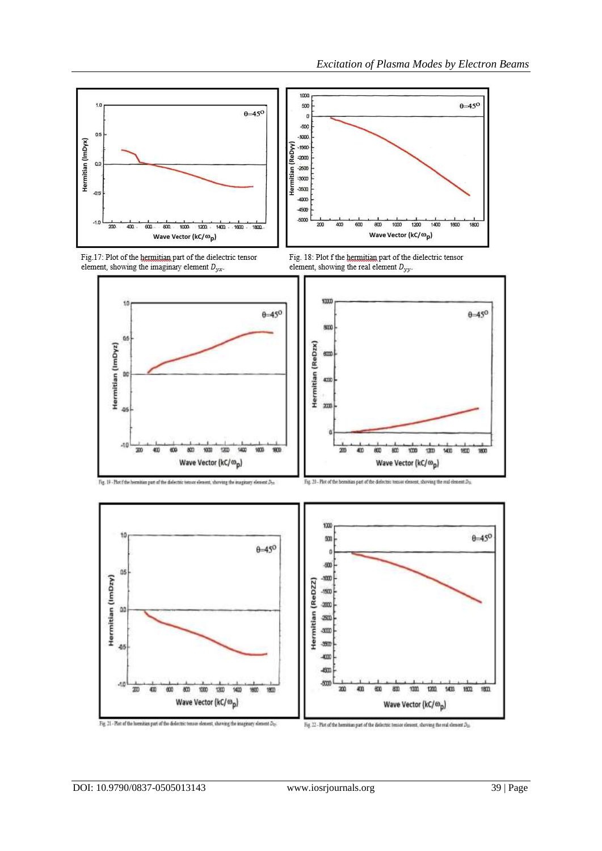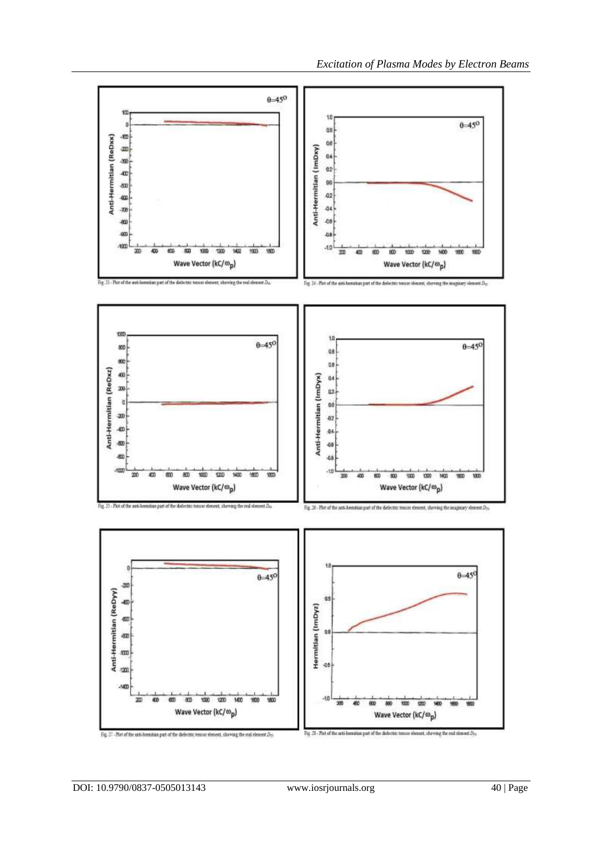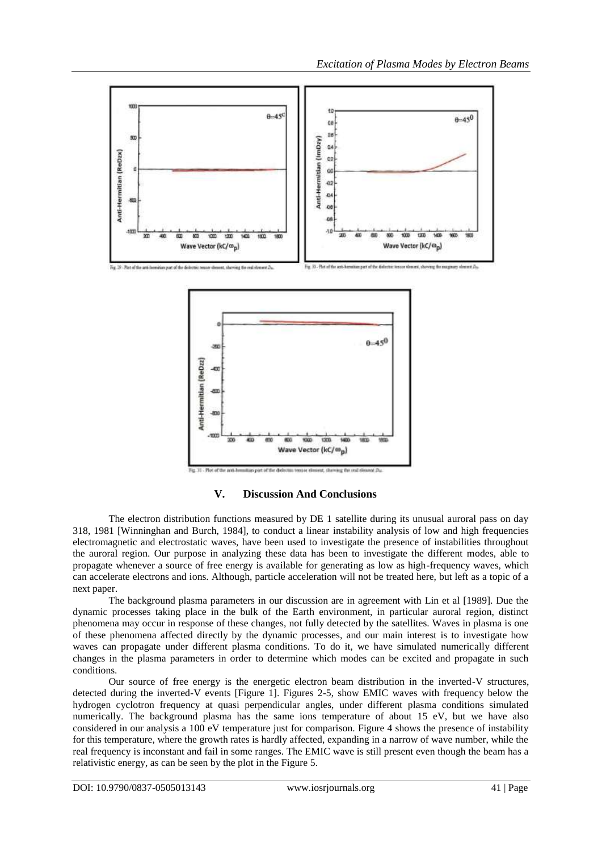

**V. Discussion And Conclusions**

The electron distribution functions measured by DE 1 satellite during its unusual auroral pass on day 318, 1981 [Winninghan and Burch, 1984], to conduct a linear instability analysis of low and high frequencies electromagnetic and electrostatic waves, have been used to investigate the presence of instabilities throughout the auroral region. Our purpose in analyzing these data has been to investigate the different modes, able to propagate whenever a source of free energy is available for generating as low as high-frequency waves, which can accelerate electrons and ions. Although, particle acceleration will not be treated here, but left as a topic of a next paper.

The background plasma parameters in our discussion are in agreement with Lin et al [1989]. Due the dynamic processes taking place in the bulk of the Earth environment, in particular auroral region, distinct phenomena may occur in response of these changes, not fully detected by the satellites. Waves in plasma is one of these phenomena affected directly by the dynamic processes, and our main interest is to investigate how waves can propagate under different plasma conditions. To do it, we have simulated numerically different changes in the plasma parameters in order to determine which modes can be excited and propagate in such conditions.

Our source of free energy is the energetic electron beam distribution in the inverted-V structures, detected during the inverted-V events [Figure 1]. Figures 2-5, show EMIC waves with frequency below the hydrogen cyclotron frequency at quasi perpendicular angles, under different plasma conditions simulated numerically. The background plasma has the same ions temperature of about 15 eV, but we have also considered in our analysis a 100 eV temperature just for comparison. Figure 4 shows the presence of instability for this temperature, where the growth rates is hardly affected, expanding in a narrow of wave number, while the real frequency is inconstant and fail in some ranges. The EMIC wave is still present even though the beam has a relativistic energy, as can be seen by the plot in the Figure 5.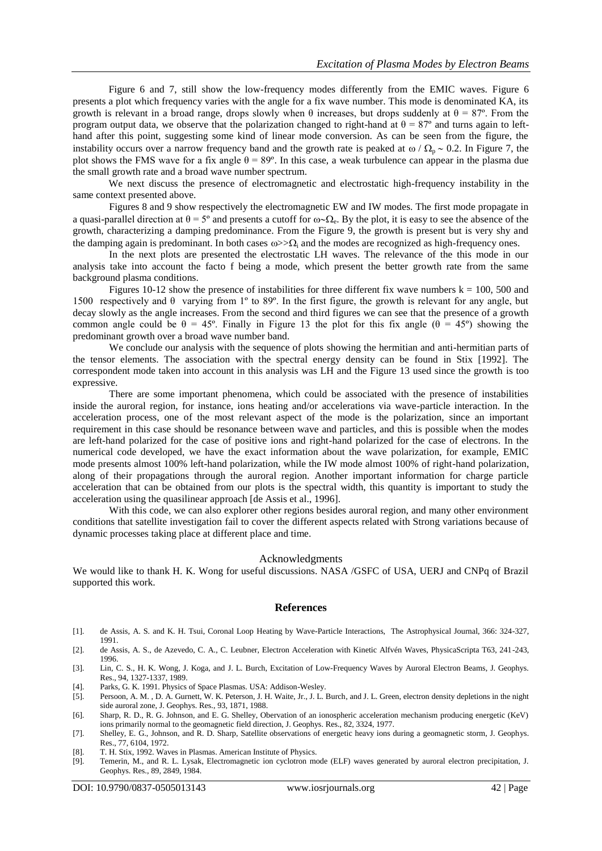Figure 6 and 7, still show the low-frequency modes differently from the EMIC waves. Figure 6 presents a plot which frequency varies with the angle for a fix wave number. This mode is denominated KA, its growth is relevant in a broad range, drops slowly when  $\theta$  increases, but drops suddenly at  $\theta = 87^{\circ}$ . From the program output data, we observe that the polarization changed to right-hand at  $\theta = 87^{\circ}$  and turns again to lefthand after this point, suggesting some kind of linear mode conversion. As can be seen from the figure, the instability occurs over a narrow frequency band and the growth rate is peaked at  $\omega / \Omega_p \sim 0.2$ . In Figure 7, the plot shows the FMS wave for a fix angle  $\theta = 89^\circ$ . In this case, a weak turbulence can appear in the plasma due the small growth rate and a broad wave number spectrum.

We next discuss the presence of electromagnetic and electrostatic high-frequency instability in the same context presented above.

Figures 8 and 9 show respectively the electromagnetic EW and IW modes. The first mode propagate in a quasi-parallel direction at  $\theta = 5^{\circ}$  and presents a cutoff for  $\omega \sim \Omega_e$ . By the plot, it is easy to see the absence of the growth, characterizing a damping predominance. From the Figure 9, the growth is present but is very shy and the damping again is predominant. In both cases  $\omega > \Omega_i$  and the modes are recognized as high-frequency ones.

In the next plots are presented the electrostatic LH waves. The relevance of the this mode in our analysis take into account the facto f being a mode, which present the better growth rate from the same background plasma conditions.

Figures 10-12 show the presence of instabilities for three different fix wave numbers  $k = 100, 500$  and 1500 respectively and θ varying from 1º to 89º. In the first figure, the growth is relevant for any angle, but decay slowly as the angle increases. From the second and third figures we can see that the presence of a growth common angle could be  $\theta = 45^{\circ}$ . Finally in Figure 13 the plot for this fix angle ( $\theta = 45^{\circ}$ ) showing the predominant growth over a broad wave number band.

We conclude our analysis with the sequence of plots showing the hermitian and anti-hermitian parts of the tensor elements. The association with the spectral energy density can be found in Stix [1992]. The correspondent mode taken into account in this analysis was LH and the Figure 13 used since the growth is too expressive.

There are some important phenomena, which could be associated with the presence of instabilities inside the auroral region, for instance, ions heating and/or accelerations via wave-particle interaction. In the acceleration process, one of the most relevant aspect of the mode is the polarization, since an important requirement in this case should be resonance between wave and particles, and this is possible when the modes are left-hand polarized for the case of positive ions and right-hand polarized for the case of electrons. In the numerical code developed, we have the exact information about the wave polarization, for example, EMIC mode presents almost 100% left-hand polarization, while the IW mode almost 100% of right-hand polarization, along of their propagations through the auroral region. Another important information for charge particle acceleration that can be obtained from our plots is the spectral width, this quantity is important to study the acceleration using the quasilinear approach [de Assis et al., 1996].

With this code, we can also explorer other regions besides auroral region, and many other environment conditions that satellite investigation fail to cover the different aspects related with Strong variations because of dynamic processes taking place at different place and time.

#### Acknowledgments

We would like to thank H. K. Wong for useful discussions. NASA /GSFC of USA, UERJ and CNPq of Brazil supported this work.

#### **References**

- [1]. de Assis, A. S. and K. H. Tsui, Coronal Loop Heating by Wave-Particle Interactions, The Astrophysical Journal, 366: 324-327, 1991.
- [2]. de Assis, A. S., de Azevedo, C. A., C. Leubner, Electron Acceleration with Kinetic Alfvén Waves, PhysicaScripta T63, 241-243, 1996.
- [3]. Lin, C. S., H. K. Wong, J. Koga, and J. L. Burch, Excitation of Low-Frequency Waves by Auroral Electron Beams, J. Geophys. Res., 94, 1327-1337, 1989.
- [4]. Parks, G. K. 1991. Physics of Space Plasmas. USA: Addison-Wesley.
- [5]. Persoon, A. M. , D. A. Gurnett, W. K. Peterson, J. H. Waite, Jr., J. L. Burch, and J. L. Green, electron density depletions in the night side auroral zone, J. Geophys. Res., 93, 1871, 1988.

- [7]. Shelley, E. G., Johnson, and R. D. Sharp, Satellite observations of energetic heavy ions during a geomagnetic storm, J. Geophys. Res., 77, 6104, 1972.
- [8]. T. H. Stix, 1992. Waves in Plasmas. American Institute of Physics. [9]. Temerin, M., and R. L. Lysak, Electromagnetic ion cyclotron mo
- Temerin, M., and R. L. Lysak, Electromagnetic ion cyclotron mode (ELF) waves generated by auroral electron precipitation, J. Geophys. Res., 89, 2849, 1984.

<sup>[6].</sup> Sharp, R. D., R. G. Johnson, and E. G. Shelley, Obervation of an ionospheric acceleration mechanism producing energetic (KeV) ions primarily normal to the geomagnetic field direction, J. Geophys. Res., 82, 3324, 1977.